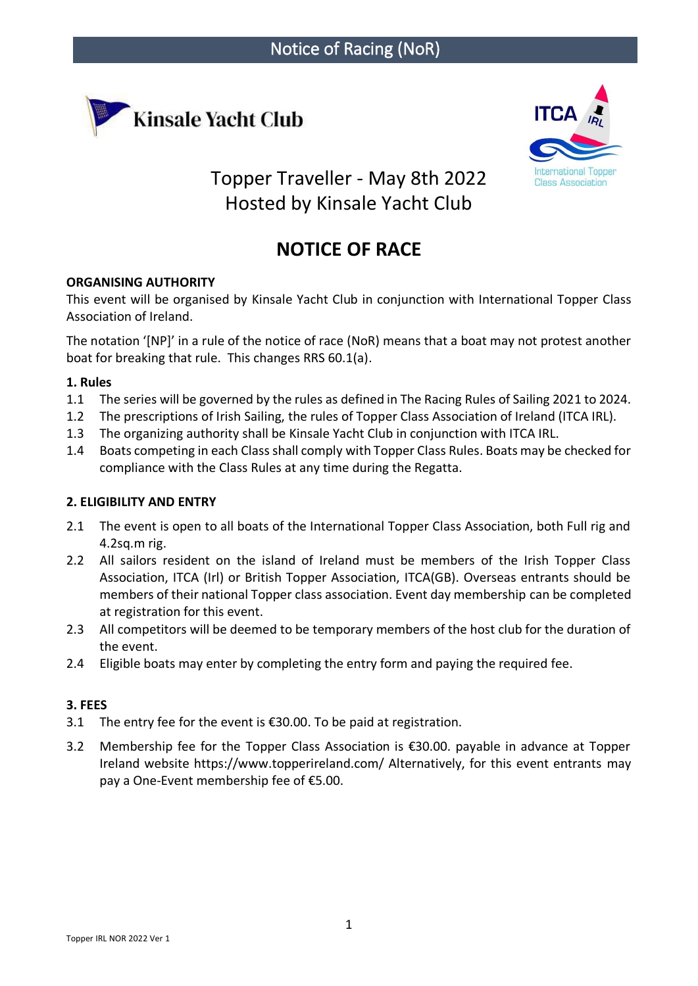



Topper Traveller - May 8th 2022 Hosted by Kinsale Yacht Club

# **NOTICE OF RACE**

# **ORGANISING AUTHORITY**

This event will be organised by Kinsale Yacht Club in conjunction with International Topper Class Association of Ireland.

The notation '[NP]' in a rule of the notice of race (NoR) means that a boat may not protest another boat for breaking that rule. This changes RRS 60.1(a).

# **1. Rules**

- 1.1 The series will be governed by the rules as defined in The Racing Rules of Sailing 2021 to 2024.
- 1.2 The prescriptions of Irish Sailing, the rules of Topper Class Association of Ireland (ITCA IRL).
- 1.3 The organizing authority shall be Kinsale Yacht Club in conjunction with ITCA IRL.
- 1.4 Boats competing in each Class shall comply with Topper Class Rules. Boats may be checked for compliance with the Class Rules at any time during the Regatta.

# **2. ELIGIBILITY AND ENTRY**

- 2.1 The event is open to all boats of the International Topper Class Association, both Full rig and 4.2sq.m rig.
- 2.2 All sailors resident on the island of Ireland must be members of the Irish Topper Class Association, ITCA (Irl) or British Topper Association, ITCA(GB). Overseas entrants should be members of their national Topper class association. Event day membership can be completed at registration for this event.
- 2.3 All competitors will be deemed to be temporary members of the host club for the duration of the event.
- 2.4 Eligible boats may enter by completing the entry form and paying the required fee.

# **3. FEES**

- 3.1 The entry fee for the event is €30.00. To be paid at registration.
- 3.2 Membership fee for the Topper Class Association is €30.00. payable in advance at Topper Ireland website https://www.topperireland.com/ Alternatively, for this event entrants may pay a One-Event membership fee of €5.00.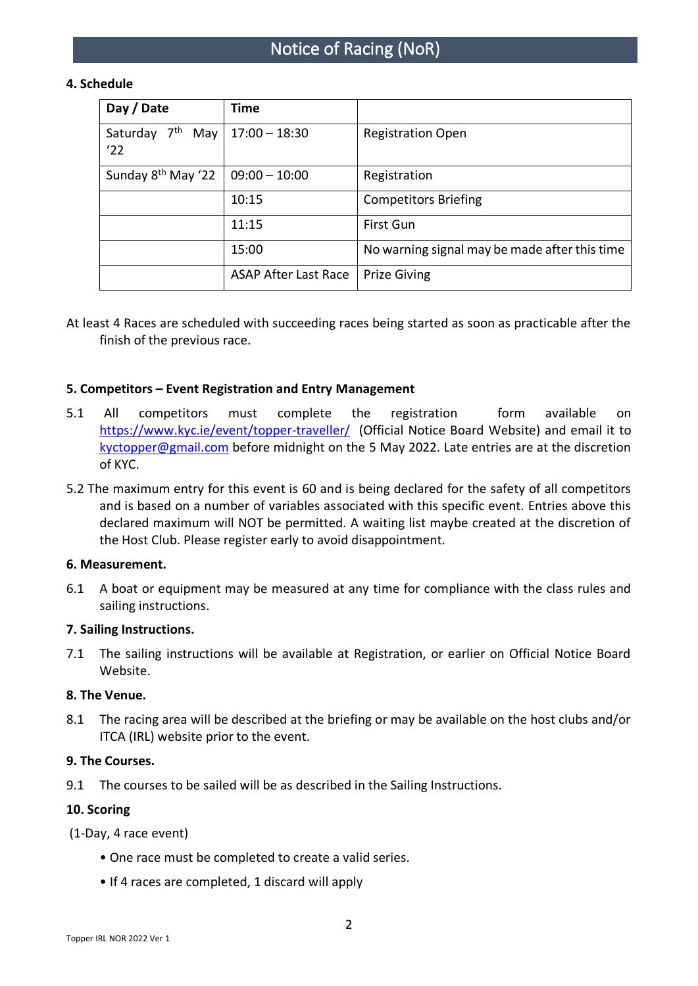# Notice of Racing (NoR)

# **4. Schedule**

| Day / Date                                | Time                        |                                               |
|-------------------------------------------|-----------------------------|-----------------------------------------------|
| 7 <sup>th</sup><br>May<br>Saturday<br>'22 | $17:00 - 18:30$             | <b>Registration Open</b>                      |
| Sunday 8 <sup>th</sup> May '22            | $09:00 - 10:00$             | Registration                                  |
|                                           | 10:15                       | <b>Competitors Briefing</b>                   |
|                                           | 11:15                       | First Gun                                     |
|                                           | 15:00                       | No warning signal may be made after this time |
|                                           | <b>ASAP After Last Race</b> | <b>Prize Giving</b>                           |

At least 4 Races are scheduled with succeeding races being started as soon as practicable after the finish of the previous race.

#### **5. Competitors – Event Registration and Entry Management**

- 5.1 All competitors must complete the registration form available on <https://www.kyc.ie/event/topper-traveller/> (Official Notice Board Website) and email it to [kyctopper@gmail.com](mailto:kyctopper@gmail.com) before midnight on the 5 May 2022. Late entries are at the discretion of KYC.
- 5.2 The maximum entry for this event is 60 and is being declared for the safety of all competitors and is based on a number of variables associated with this specific event. Entries above this declared maximum will NOT be permitted. A waiting list maybe created at the discretion of the Host Club. Please register early to avoid disappointment.

#### **6. Measurement.**

6.1 A boat or equipment may be measured at any time for compliance with the class rules and sailing instructions.

#### **7. Sailing Instructions.**

7.1 The sailing instructions will be available at Registration, or earlier on Official Notice Board Website.

#### **8. The Venue.**

8.1 The racing area will be described at the briefing or may be available on the host clubs and/or ITCA (IRL) website prior to the event.

#### **9. The Courses.**

9.1 The courses to be sailed will be as described in the Sailing Instructions.

#### **10. Scoring**

(1-Day, 4 race event)

- One race must be completed to create a valid series.
- If 4 races are completed, 1 discard will apply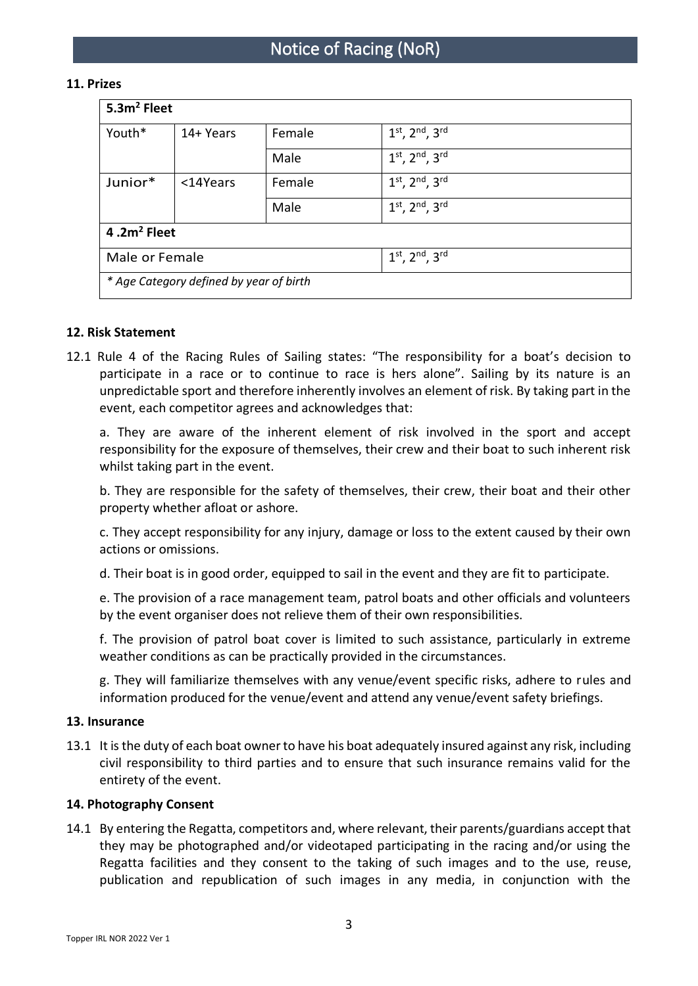#### **11. Prizes**

| 5.3m <sup>2</sup> Fleet                 |           |        |                                |  |
|-----------------------------------------|-----------|--------|--------------------------------|--|
| Youth*                                  | 14+ Years | Female | $1^{st}$ , $2^{nd}$ , $3^{rd}$ |  |
|                                         |           | Male   | $1^{st}$ , $2^{nd}$ , $3^{rd}$ |  |
| Junior*                                 | <14Years  | Female | $1^{st}$ , $2^{nd}$ , $3^{rd}$ |  |
|                                         |           | Male   | $1^{st}$ , $2^{nd}$ , $3^{rd}$ |  |
| 4.2 $m2$ Fleet                          |           |        |                                |  |
| Male or Female                          |           |        | $1^{st}$ , $2^{nd}$ , $3^{rd}$ |  |
| * Age Category defined by year of birth |           |        |                                |  |

# **12. Risk Statement**

12.1 Rule 4 of the Racing Rules of Sailing states: "The responsibility for a boat's decision to participate in a race or to continue to race is hers alone". Sailing by its nature is an unpredictable sport and therefore inherently involves an element of risk. By taking part in the event, each competitor agrees and acknowledges that:

a. They are aware of the inherent element of risk involved in the sport and accept responsibility for the exposure of themselves, their crew and their boat to such inherent risk whilst taking part in the event.

b. They are responsible for the safety of themselves, their crew, their boat and their other property whether afloat or ashore.

c. They accept responsibility for any injury, damage or loss to the extent caused by their own actions or omissions.

d. Their boat is in good order, equipped to sail in the event and they are fit to participate.

e. The provision of a race management team, patrol boats and other officials and volunteers by the event organiser does not relieve them of their own responsibilities.

f. The provision of patrol boat cover is limited to such assistance, particularly in extreme weather conditions as can be practically provided in the circumstances.

g. They will familiarize themselves with any venue/event specific risks, adhere to rules and information produced for the venue/event and attend any venue/event safety briefings.

#### **13. Insurance**

13.1 It is the duty of each boat owner to have his boat adequately insured against any risk, including civil responsibility to third parties and to ensure that such insurance remains valid for the entirety of the event.

#### **14. Photography Consent**

14.1 By entering the Regatta, competitors and, where relevant, their parents/guardians accept that they may be photographed and/or videotaped participating in the racing and/or using the Regatta facilities and they consent to the taking of such images and to the use, reuse, publication and republication of such images in any media, in conjunction with the